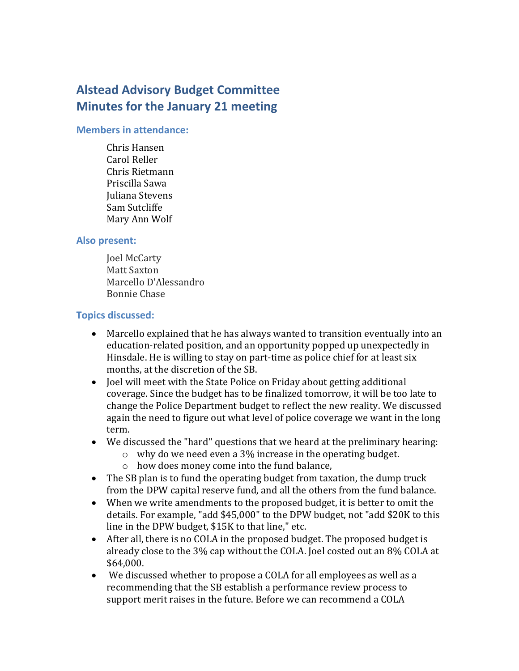# **Alstead Advisory Budget Committee Minutes for the January 21 meeting**

#### **Members in attendance:**

Chris Hansen Carol Reller Chris Rietmann Priscilla Sawa Juliana Stevens Sam Sutcliffe Mary Ann Wolf

#### **Also present:**

Joel McCarty Matt Saxton Marcello D'Alessandro Bonnie Chase

## **Topics discussed:**

- Marcello explained that he has always wanted to transition eventually into an education-related position, and an opportunity popped up unexpectedly in Hinsdale. He is willing to stay on part-time as police chief for at least six months, at the discretion of the SB.
- Joel will meet with the State Police on Friday about getting additional coverage. Since the budget has to be finalized tomorrow, it will be too late to change the Police Department budget to reflect the new reality. We discussed again the need to figure out what level of police coverage we want in the long term.
- We discussed the "hard" questions that we heard at the preliminary hearing:
	- o why do we need even a 3% increase in the operating budget.
	- o how does money come into the fund balance,
- The SB plan is to fund the operating budget from taxation, the dump truck from the DPW capital reserve fund, and all the others from the fund balance.
- When we write amendments to the proposed budget, it is better to omit the details. For example, "add \$45,000" to the DPW budget, not "add \$20K to this line in the DPW budget, \$15K to that line," etc.
- After all, there is no COLA in the proposed budget. The proposed budget is already close to the 3% cap without the COLA. Joel costed out an 8% COLA at \$64,000.
- We discussed whether to propose a COLA for all employees as well as a recommending that the SB establish a performance review process to support merit raises in the future. Before we can recommend a COLA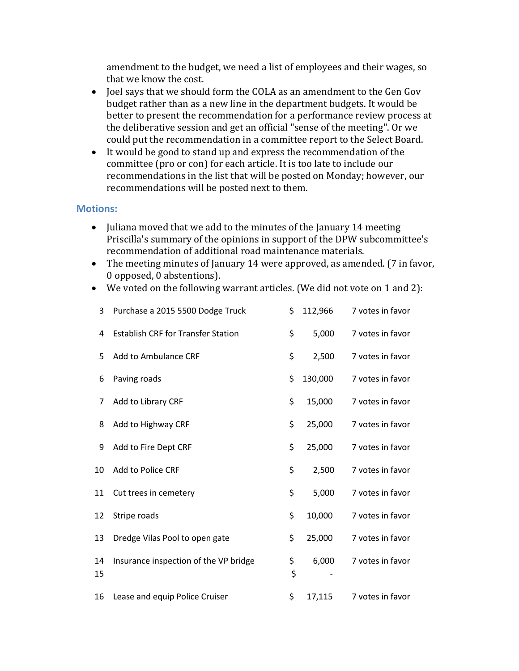amendment to the budget, we need a list of employees and their wages, so that we know the cost.

- Joel says that we should form the COLA as an amendment to the Gen Gov budget rather than as a new line in the department budgets. It would be better to present the recommendation for a performance review process at the deliberative session and get an official "sense of the meeting". Or we could put the recommendation in a committee report to the Select Board.
- It would be good to stand up and express the recommendation of the committee (pro or con) for each article. It is too late to include our recommendations in the list that will be posted on Monday; however, our recommendations will be posted next to them.

#### **Motions:**

- Juliana moved that we add to the minutes of the January 14 meeting Priscilla's summary of the opinions in support of the DPW subcommittee's recommendation of additional road maintenance materials.
- The meeting minutes of January 14 were approved, as amended. (7 in favor, 0 opposed, 0 abstentions).
- We voted on the following warrant articles. (We did not vote on 1 and 2):

| 3        | Purchase a 2015 5500 Dodge Truck          | \$       | 112,966 | 7 votes in favor |
|----------|-------------------------------------------|----------|---------|------------------|
| 4        | <b>Establish CRF for Transfer Station</b> | \$       | 5,000   | 7 votes in favor |
| 5        | Add to Ambulance CRF                      | \$       | 2,500   | 7 votes in favor |
| 6        | Paving roads                              | \$       | 130,000 | 7 votes in favor |
| 7        | Add to Library CRF                        | \$       | 15,000  | 7 votes in favor |
| 8        | Add to Highway CRF                        | \$       | 25,000  | 7 votes in favor |
| 9        | Add to Fire Dept CRF                      | \$       | 25,000  | 7 votes in favor |
| 10       | Add to Police CRF                         | \$       | 2,500   | 7 votes in favor |
| 11       | Cut trees in cemetery                     | \$       | 5,000   | 7 votes in favor |
| 12       | Stripe roads                              | \$       | 10,000  | 7 votes in favor |
| 13       | Dredge Vilas Pool to open gate            | \$       | 25,000  | 7 votes in favor |
| 14<br>15 | Insurance inspection of the VP bridge     | \$<br>\$ | 6,000   | 7 votes in favor |
| 16       | Lease and equip Police Cruiser            | \$       | 17,115  | 7 votes in favor |